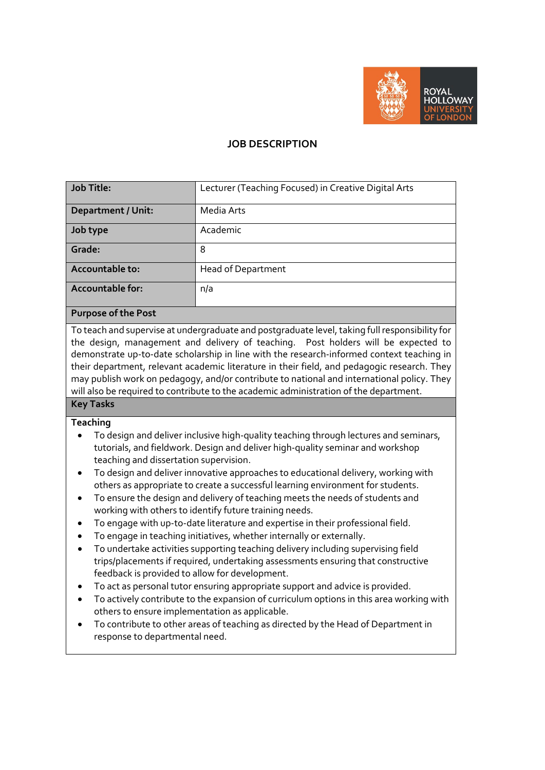

# **JOB DESCRIPTION**

| <b>Job Title:</b>              | Lecturer (Teaching Focused) in Creative Digital Arts |
|--------------------------------|------------------------------------------------------|
| <b>Department / Unit:</b>      | Media Arts                                           |
| Job type                       | Academic                                             |
| Grade:                         | 8                                                    |
| Accountable to:                | <b>Head of Department</b>                            |
| <b>Accountable for:</b>        | n/a                                                  |
| $\sim$<br>$\sim$ $\sim$ $\sim$ |                                                      |

#### **Purpose of the Post**

To teach and supervise at undergraduate and postgraduate level, taking full responsibility for the design, management and delivery of teaching. Post holders will be expected to demonstrate up-to-date scholarship in line with the research-informed context teaching in their department, relevant academic literature in their field, and pedagogic research. They may publish work on pedagogy, and/or contribute to national and international policy. They will also be required to contribute to the academic administration of the department.

#### **Key Tasks**

## **Teaching**

- To design and deliver inclusive high-quality teaching through lectures and seminars, tutorials, and fieldwork. Design and deliver high-quality seminar and workshop teaching and dissertation supervision.
- To design and deliver innovative approaches to educational delivery, working with others as appropriate to create a successful learning environment for students.
- To ensure the design and delivery of teaching meets the needs of students and working with others to identify future training needs.
- To engage with up-to-date literature and expertise in their professional field.
- To engage in teaching initiatives, whether internally or externally.
- To undertake activities supporting teaching delivery including supervising field trips/placements if required, undertaking assessments ensuring that constructive feedback is provided to allow for development.
- To act as personal tutor ensuring appropriate support and advice is provided.
- To actively contribute to the expansion of curriculum options in this area working with others to ensure implementation as applicable.
- To contribute to other areas of teaching as directed by the Head of Department in response to departmental need.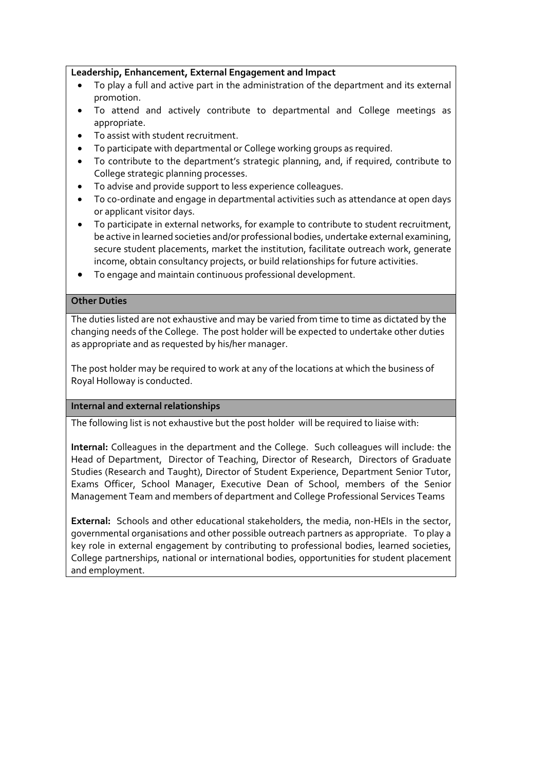## **Leadership, Enhancement, External Engagement and Impact**

- To play a full and active part in the administration of the department and its external promotion.
- To attend and actively contribute to departmental and College meetings as appropriate.
- To assist with student recruitment.
- To participate with departmental or College working groups as required.
- To contribute to the department's strategic planning, and, if required, contribute to College strategic planning processes.
- To advise and provide support to less experience colleagues.
- To co-ordinate and engage in departmental activities such as attendance at open days or applicant visitor days.
- To participate in external networks, for example to contribute to student recruitment, be active in learned societies and/or professional bodies, undertake external examining, secure student placements, market the institution, facilitate outreach work, generate income, obtain consultancy projects, or build relationships for future activities.
- To engage and maintain continuous professional development.

## **Other Duties**

The duties listed are not exhaustive and may be varied from time to time as dictated by the changing needs of the College. The post holder will be expected to undertake other duties as appropriate and as requested by his/her manager.

The post holder may be required to work at any of the locations at which the business of Royal Holloway is conducted.

#### **Internal and external relationships**

The following list is not exhaustive but the post holder will be required to liaise with:

**Internal:** Colleagues in the department and the College. Such colleagues will include: the Head of Department, Director of Teaching, Director of Research, Directors of Graduate Studies (Research and Taught), Director of Student Experience, Department Senior Tutor, Exams Officer, School Manager, Executive Dean of School, members of the Senior Management Team and members of department and College Professional Services Teams

**External:** Schools and other educational stakeholders, the media, non-HEIs in the sector, governmental organisations and other possible outreach partners as appropriate. To play a key role in external engagement by contributing to professional bodies, learned societies, College partnerships, national or international bodies, opportunities for student placement and employment.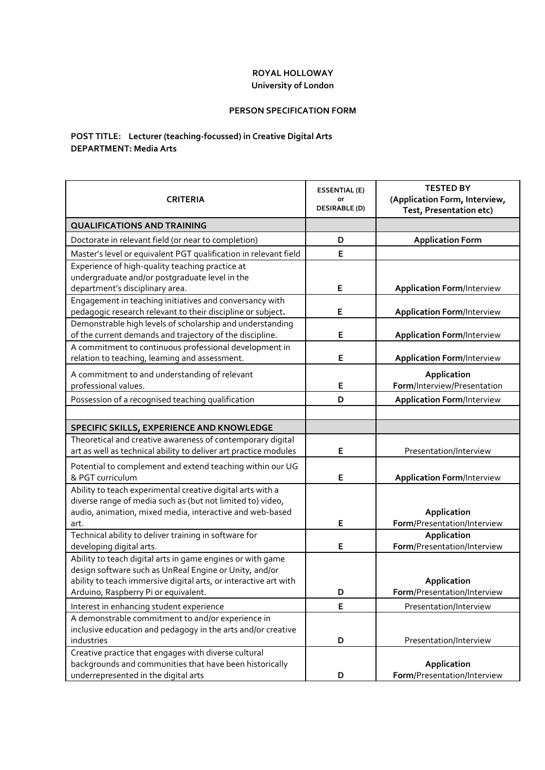## **ROYAL HOLLOWAY University of London**

#### **PERSON SPECIFICATION FORM**

## **POST TITLE: Lecturer (teaching-focussed) in Creative Digital Arts DEPARTMENT: Media Arts**

| <b>CRITERIA</b>                                                                                                       | <b>ESSENTIAL (E)</b><br>or<br><b>DESIRABLE (D)</b> | <b>TESTED BY</b><br>(Application Form, Interview,<br>Test, Presentation etc) |
|-----------------------------------------------------------------------------------------------------------------------|----------------------------------------------------|------------------------------------------------------------------------------|
| <b>QUALIFICATIONS AND TRAINING</b>                                                                                    |                                                    |                                                                              |
| Doctorate in relevant field (or near to completion)                                                                   | D                                                  | <b>Application Form</b>                                                      |
| Master's level or equivalent PGT qualification in relevant field                                                      | E                                                  |                                                                              |
| Experience of high-quality teaching practice at                                                                       |                                                    |                                                                              |
| undergraduate and/or postgraduate level in the                                                                        |                                                    |                                                                              |
| department's disciplinary area.                                                                                       | E                                                  | <b>Application Form/Interview</b>                                            |
| Engagement in teaching initiatives and conversancy with                                                               |                                                    |                                                                              |
| pedagogic research relevant to their discipline or subject.                                                           | E                                                  | <b>Application Form/Interview</b>                                            |
| Demonstrable high levels of scholarship and understanding<br>of the current demands and trajectory of the discipline. | E                                                  | <b>Application Form/Interview</b>                                            |
| A commitment to continuous professional development in                                                                |                                                    |                                                                              |
| relation to teaching, learning and assessment.                                                                        | Е                                                  | <b>Application Form/Interview</b>                                            |
| A commitment to and understanding of relevant                                                                         |                                                    | Application                                                                  |
| professional values.                                                                                                  | E                                                  | Form/Interview/Presentation                                                  |
| Possession of a recognised teaching qualification                                                                     | D                                                  | <b>Application Form/Interview</b>                                            |
|                                                                                                                       |                                                    |                                                                              |
| SPECIFIC SKILLS, EXPERIENCE AND KNOWLEDGE                                                                             |                                                    |                                                                              |
| Theoretical and creative awareness of contemporary digital                                                            |                                                    |                                                                              |
| art as well as technical ability to deliver art practice modules                                                      | Е                                                  | Presentation/Interview                                                       |
| Potential to complement and extend teaching within our UG                                                             |                                                    |                                                                              |
| & PGT curriculum                                                                                                      | Е                                                  | <b>Application Form/Interview</b>                                            |
| Ability to teach experimental creative digital arts with a                                                            |                                                    |                                                                              |
| diverse range of media such as (but not limited to) video,                                                            |                                                    |                                                                              |
| audio, animation, mixed media, interactive and web-based                                                              | E                                                  | Application                                                                  |
| art.                                                                                                                  |                                                    | Form/Presentation/Interview                                                  |
| Technical ability to deliver training in software for<br>developing digital arts.                                     | E                                                  | Application<br>Form/Presentation/Interview                                   |
| Ability to teach digital arts in game engines or with game                                                            |                                                    |                                                                              |
| design software such as UnReal Engine or Unity, and/or                                                                |                                                    |                                                                              |
| ability to teach immersive digital arts, or interactive art with                                                      |                                                    | Application                                                                  |
| Arduino, Raspberry Pi or equivalent.                                                                                  | D                                                  | Form/Presentation/Interview                                                  |
| Interest in enhancing student experience                                                                              | E                                                  | Presentation/Interview                                                       |
| A demonstrable commitment to and/or experience in                                                                     |                                                    |                                                                              |
| inclusive education and pedagogy in the arts and/or creative                                                          |                                                    |                                                                              |
| industries                                                                                                            | D                                                  | Presentation/Interview                                                       |
| Creative practice that engages with diverse cultural                                                                  |                                                    |                                                                              |
| backgrounds and communities that have been historically                                                               |                                                    | Application                                                                  |
| underrepresented in the digital arts                                                                                  | D                                                  | Form/Presentation/Interview                                                  |